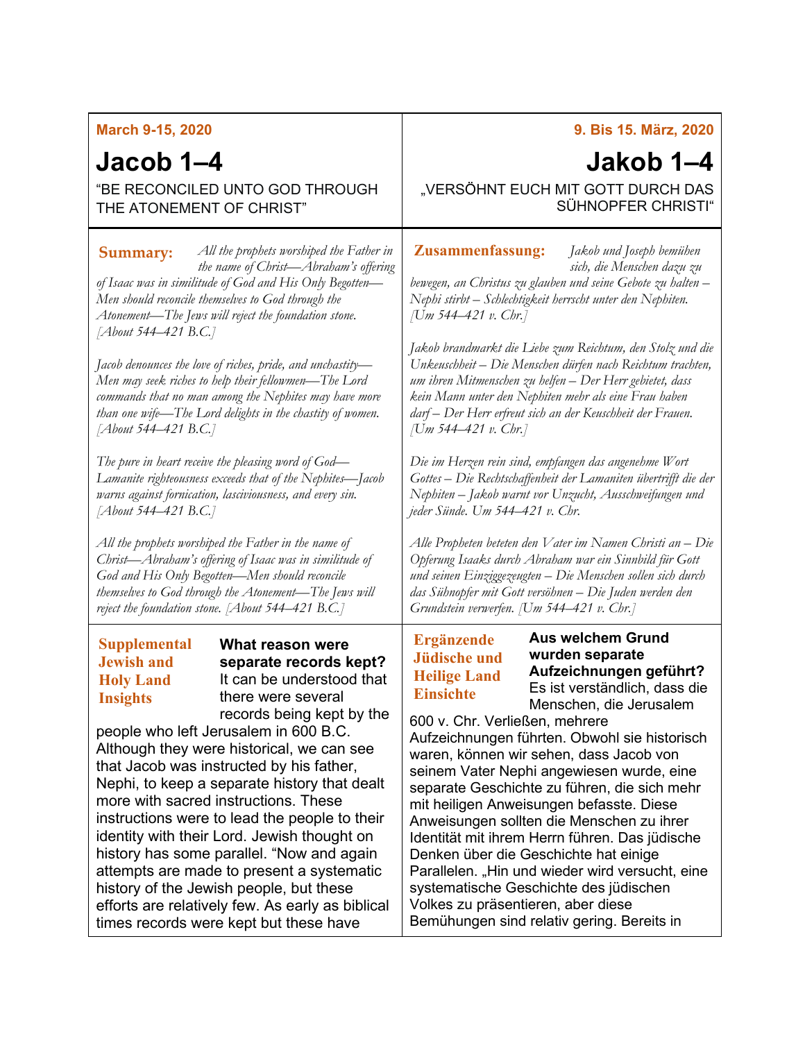| <b>March 9-15, 2020</b>                                                                                                                                                                                                                                                                                                                                                                                                                                                                                                                                                                                                                                                                                                                                                    | 9. Bis 15. März, 2020                                                                                                                                                                                                                                                                                                                                                                                                                                                                                                                                                                                                                                                                                                                                                                                                     |
|----------------------------------------------------------------------------------------------------------------------------------------------------------------------------------------------------------------------------------------------------------------------------------------------------------------------------------------------------------------------------------------------------------------------------------------------------------------------------------------------------------------------------------------------------------------------------------------------------------------------------------------------------------------------------------------------------------------------------------------------------------------------------|---------------------------------------------------------------------------------------------------------------------------------------------------------------------------------------------------------------------------------------------------------------------------------------------------------------------------------------------------------------------------------------------------------------------------------------------------------------------------------------------------------------------------------------------------------------------------------------------------------------------------------------------------------------------------------------------------------------------------------------------------------------------------------------------------------------------------|
| Jacob 1–4                                                                                                                                                                                                                                                                                                                                                                                                                                                                                                                                                                                                                                                                                                                                                                  | Jakob 1–4                                                                                                                                                                                                                                                                                                                                                                                                                                                                                                                                                                                                                                                                                                                                                                                                                 |
| "BE RECONCILED UNTO GOD THROUGH                                                                                                                                                                                                                                                                                                                                                                                                                                                                                                                                                                                                                                                                                                                                            | "VERSÖHNT EUCH MIT GOTT DURCH DAS                                                                                                                                                                                                                                                                                                                                                                                                                                                                                                                                                                                                                                                                                                                                                                                         |
| THE ATONEMENT OF CHRIST"                                                                                                                                                                                                                                                                                                                                                                                                                                                                                                                                                                                                                                                                                                                                                   | SÜHNOPFER CHRISTI"                                                                                                                                                                                                                                                                                                                                                                                                                                                                                                                                                                                                                                                                                                                                                                                                        |
| All the prophets worshiped the Father in                                                                                                                                                                                                                                                                                                                                                                                                                                                                                                                                                                                                                                                                                                                                   | <b>Zusammenfassung:</b>                                                                                                                                                                                                                                                                                                                                                                                                                                                                                                                                                                                                                                                                                                                                                                                                   |
| Summary:                                                                                                                                                                                                                                                                                                                                                                                                                                                                                                                                                                                                                                                                                                                                                                   | Jakob und Joseph bemühen                                                                                                                                                                                                                                                                                                                                                                                                                                                                                                                                                                                                                                                                                                                                                                                                  |
| the name of Christ-Abraham's offering                                                                                                                                                                                                                                                                                                                                                                                                                                                                                                                                                                                                                                                                                                                                      | sich, die Menschen dazu zu                                                                                                                                                                                                                                                                                                                                                                                                                                                                                                                                                                                                                                                                                                                                                                                                |
| of Isaac was in similitude of God and His Only Begotten-                                                                                                                                                                                                                                                                                                                                                                                                                                                                                                                                                                                                                                                                                                                   | bewegen, an Christus zu glauben und seine Gebote zu halten -                                                                                                                                                                                                                                                                                                                                                                                                                                                                                                                                                                                                                                                                                                                                                              |
| Men should reconcile themselves to God through the                                                                                                                                                                                                                                                                                                                                                                                                                                                                                                                                                                                                                                                                                                                         | Nephi stirbt – Schlechtigkeit herrscht unter den Nephiten.                                                                                                                                                                                                                                                                                                                                                                                                                                                                                                                                                                                                                                                                                                                                                                |
| Atonement—The Jews will reject the foundation stone.                                                                                                                                                                                                                                                                                                                                                                                                                                                                                                                                                                                                                                                                                                                       | [Um 544–421 v. Chr.]                                                                                                                                                                                                                                                                                                                                                                                                                                                                                                                                                                                                                                                                                                                                                                                                      |
| [About 544–421 B.C.]                                                                                                                                                                                                                                                                                                                                                                                                                                                                                                                                                                                                                                                                                                                                                       | Jakob brandmarkt die Liebe zum Reichtum, den Stolz und die                                                                                                                                                                                                                                                                                                                                                                                                                                                                                                                                                                                                                                                                                                                                                                |
| Jacob denounces the love of riches, pride, and unchastity-                                                                                                                                                                                                                                                                                                                                                                                                                                                                                                                                                                                                                                                                                                                 | Unkeuschheit - Die Menschen dürfen nach Reichtum trachten,                                                                                                                                                                                                                                                                                                                                                                                                                                                                                                                                                                                                                                                                                                                                                                |
| Men may seek riches to help their fellowmen—The Lord                                                                                                                                                                                                                                                                                                                                                                                                                                                                                                                                                                                                                                                                                                                       | um ihren Mitmenschen zu helfen – Der Herr gebietet, dass                                                                                                                                                                                                                                                                                                                                                                                                                                                                                                                                                                                                                                                                                                                                                                  |
| commands that no man among the Nephites may have more                                                                                                                                                                                                                                                                                                                                                                                                                                                                                                                                                                                                                                                                                                                      | kein Mann unter den Nephiten mehr als eine Frau haben                                                                                                                                                                                                                                                                                                                                                                                                                                                                                                                                                                                                                                                                                                                                                                     |
| than one wife-The Lord delights in the chastity of women.                                                                                                                                                                                                                                                                                                                                                                                                                                                                                                                                                                                                                                                                                                                  | darf – Der Herr erfreut sich an der Keuschheit der Frauen.                                                                                                                                                                                                                                                                                                                                                                                                                                                                                                                                                                                                                                                                                                                                                                |
| [About 544–421 B.C.]                                                                                                                                                                                                                                                                                                                                                                                                                                                                                                                                                                                                                                                                                                                                                       | [Um 544–421 v. Chr.]                                                                                                                                                                                                                                                                                                                                                                                                                                                                                                                                                                                                                                                                                                                                                                                                      |
| The pure in heart receive the pleasing word of $God$ —                                                                                                                                                                                                                                                                                                                                                                                                                                                                                                                                                                                                                                                                                                                     | Die im Herzen rein sind, empfangen das angenehme Wort                                                                                                                                                                                                                                                                                                                                                                                                                                                                                                                                                                                                                                                                                                                                                                     |
| Lamanite righteousness exceeds that of the Nephites-Jacob                                                                                                                                                                                                                                                                                                                                                                                                                                                                                                                                                                                                                                                                                                                  | Gottes – Die Rechtschaffenheit der Lamaniten übertrifft die der                                                                                                                                                                                                                                                                                                                                                                                                                                                                                                                                                                                                                                                                                                                                                           |
| warns against fornication, lasciviousness, and every sin.                                                                                                                                                                                                                                                                                                                                                                                                                                                                                                                                                                                                                                                                                                                  | Nephiten – Jakob warnt vor Unzucht, Ausschweifungen und                                                                                                                                                                                                                                                                                                                                                                                                                                                                                                                                                                                                                                                                                                                                                                   |
| [About 544–421 B.C.]                                                                                                                                                                                                                                                                                                                                                                                                                                                                                                                                                                                                                                                                                                                                                       | jeder Sünde. Um 544–421 v. Chr.                                                                                                                                                                                                                                                                                                                                                                                                                                                                                                                                                                                                                                                                                                                                                                                           |
| All the prophets worshiped the Father in the name of                                                                                                                                                                                                                                                                                                                                                                                                                                                                                                                                                                                                                                                                                                                       | Alle Propheten beteten den Vater im Namen Christi an – Die                                                                                                                                                                                                                                                                                                                                                                                                                                                                                                                                                                                                                                                                                                                                                                |
| Christ—Abraham's offering of Isaac was in similitude of                                                                                                                                                                                                                                                                                                                                                                                                                                                                                                                                                                                                                                                                                                                    | Opferung Isaaks durch Abraham war ein Sinnbild für Gott                                                                                                                                                                                                                                                                                                                                                                                                                                                                                                                                                                                                                                                                                                                                                                   |
| God and His Only Begotten-Men should reconcile                                                                                                                                                                                                                                                                                                                                                                                                                                                                                                                                                                                                                                                                                                                             | und seinen Einziggezeugten – Die Menschen sollen sich durch                                                                                                                                                                                                                                                                                                                                                                                                                                                                                                                                                                                                                                                                                                                                                               |
| themselves to God through the Atonement-The Jews will                                                                                                                                                                                                                                                                                                                                                                                                                                                                                                                                                                                                                                                                                                                      | das Sühnopfer mit Gott versöhnen – Die Juden werden den                                                                                                                                                                                                                                                                                                                                                                                                                                                                                                                                                                                                                                                                                                                                                                   |
| reject the foundation stone. [About 544–421 B.C.]                                                                                                                                                                                                                                                                                                                                                                                                                                                                                                                                                                                                                                                                                                                          | Grundstein verwerfen. [Um 544–421 v. Chr.]                                                                                                                                                                                                                                                                                                                                                                                                                                                                                                                                                                                                                                                                                                                                                                                |
| <b>Supplemental</b><br>What reason were<br>separate records kept?<br><b>Jewish and</b><br>It can be understood that<br><b>Holy Land</b><br>there were several<br><b>Insights</b><br>records being kept by the<br>people who left Jerusalem in 600 B.C.<br>Although they were historical, we can see<br>that Jacob was instructed by his father,<br>Nephi, to keep a separate history that dealt<br>more with sacred instructions. These<br>instructions were to lead the people to their<br>identity with their Lord. Jewish thought on<br>history has some parallel. "Now and again<br>attempts are made to present a systematic<br>history of the Jewish people, but these<br>efforts are relatively few. As early as biblical<br>times records were kept but these have | <b>Aus welchem Grund</b><br><b>Ergänzende</b><br>wurden separate<br><b>Jüdische und</b><br>Aufzeichnungen geführt?<br><b>Heilige Land</b><br>Es ist verständlich, dass die<br><b>Einsichte</b><br>Menschen, die Jerusalem<br>600 v. Chr. Verließen, mehrere<br>Aufzeichnungen führten. Obwohl sie historisch<br>waren, können wir sehen, dass Jacob von<br>seinem Vater Nephi angewiesen wurde, eine<br>separate Geschichte zu führen, die sich mehr<br>mit heiligen Anweisungen befasste. Diese<br>Anweisungen sollten die Menschen zu ihrer<br>Identität mit ihrem Herrn führen. Das jüdische<br>Denken über die Geschichte hat einige<br>Parallelen. "Hin und wieder wird versucht, eine<br>systematische Geschichte des jüdischen<br>Volkes zu präsentieren, aber diese<br>Bemühungen sind relativ gering. Bereits in |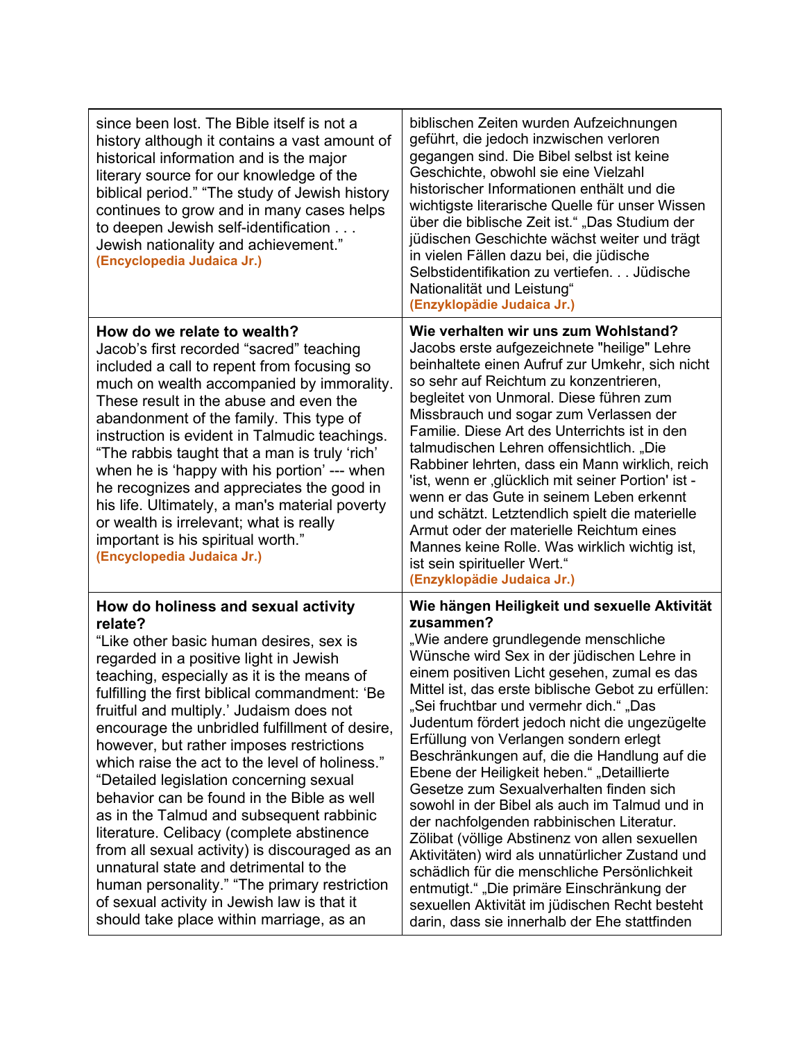| since been lost. The Bible itself is not a<br>history although it contains a vast amount of<br>historical information and is the major<br>literary source for our knowledge of the<br>biblical period." "The study of Jewish history<br>continues to grow and in many cases helps<br>to deepen Jewish self-identification<br>Jewish nationality and achievement."<br>(Encyclopedia Judaica Jr.)                                                                                                                                                                                                                                                                                                                                                                                                                                                          | biblischen Zeiten wurden Aufzeichnungen<br>geführt, die jedoch inzwischen verloren<br>gegangen sind. Die Bibel selbst ist keine<br>Geschichte, obwohl sie eine Vielzahl<br>historischer Informationen enthält und die<br>wichtigste literarische Quelle für unser Wissen<br>über die biblische Zeit ist." "Das Studium der<br>jüdischen Geschichte wächst weiter und trägt<br>in vielen Fällen dazu bei, die jüdische<br>Selbstidentifikation zu vertiefen. Jüdische<br>Nationalität und Leistung"<br>(Enzyklopädie Judaica Jr.)                                                                                                                                                                                                                                                                                                                                                                                                       |
|----------------------------------------------------------------------------------------------------------------------------------------------------------------------------------------------------------------------------------------------------------------------------------------------------------------------------------------------------------------------------------------------------------------------------------------------------------------------------------------------------------------------------------------------------------------------------------------------------------------------------------------------------------------------------------------------------------------------------------------------------------------------------------------------------------------------------------------------------------|----------------------------------------------------------------------------------------------------------------------------------------------------------------------------------------------------------------------------------------------------------------------------------------------------------------------------------------------------------------------------------------------------------------------------------------------------------------------------------------------------------------------------------------------------------------------------------------------------------------------------------------------------------------------------------------------------------------------------------------------------------------------------------------------------------------------------------------------------------------------------------------------------------------------------------------|
| How do we relate to wealth?<br>Jacob's first recorded "sacred" teaching<br>included a call to repent from focusing so<br>much on wealth accompanied by immorality.<br>These result in the abuse and even the<br>abandonment of the family. This type of<br>instruction is evident in Talmudic teachings.<br>"The rabbis taught that a man is truly 'rich'<br>when he is 'happy with his portion' --- when<br>he recognizes and appreciates the good in<br>his life. Ultimately, a man's material poverty<br>or wealth is irrelevant; what is really<br>important is his spiritual worth."<br>(Encyclopedia Judaica Jr.)                                                                                                                                                                                                                                  | Wie verhalten wir uns zum Wohlstand?<br>Jacobs erste aufgezeichnete "heilige" Lehre<br>beinhaltete einen Aufruf zur Umkehr, sich nicht<br>so sehr auf Reichtum zu konzentrieren,<br>begleitet von Unmoral. Diese führen zum<br>Missbrauch und sogar zum Verlassen der<br>Familie. Diese Art des Unterrichts ist in den<br>talmudischen Lehren offensichtlich. "Die<br>Rabbiner lehrten, dass ein Mann wirklich, reich<br>'ist, wenn er , glücklich mit seiner Portion' ist -<br>wenn er das Gute in seinem Leben erkennt<br>und schätzt. Letztendlich spielt die materielle<br>Armut oder der materielle Reichtum eines<br>Mannes keine Rolle. Was wirklich wichtig ist,<br>ist sein spiritueller Wert."<br>(Enzyklopädie Judaica Jr.)                                                                                                                                                                                                 |
| How do holiness and sexual activity<br>relate?<br>"Like other basic human desires, sex is<br>regarded in a positive light in Jewish<br>teaching, especially as it is the means of<br>fulfilling the first biblical commandment: 'Be<br>fruitful and multiply.' Judaism does not<br>encourage the unbridled fulfillment of desire,<br>however, but rather imposes restrictions<br>which raise the act to the level of holiness."<br>"Detailed legislation concerning sexual<br>behavior can be found in the Bible as well<br>as in the Talmud and subsequent rabbinic<br>literature. Celibacy (complete abstinence<br>from all sexual activity) is discouraged as an<br>unnatural state and detrimental to the<br>human personality." "The primary restriction<br>of sexual activity in Jewish law is that it<br>should take place within marriage, as an | Wie hängen Heiligkeit und sexuelle Aktivität<br>zusammen?<br>"Wie andere grundlegende menschliche<br>Wünsche wird Sex in der jüdischen Lehre in<br>einem positiven Licht gesehen, zumal es das<br>Mittel ist, das erste biblische Gebot zu erfüllen:<br>"Sei fruchtbar und vermehr dich." "Das<br>Judentum fördert jedoch nicht die ungezügelte<br>Erfüllung von Verlangen sondern erlegt<br>Beschränkungen auf, die die Handlung auf die<br>Ebene der Heiligkeit heben." "Detaillierte<br>Gesetze zum Sexualverhalten finden sich<br>sowohl in der Bibel als auch im Talmud und in<br>der nachfolgenden rabbinischen Literatur.<br>Zölibat (völlige Abstinenz von allen sexuellen<br>Aktivitäten) wird als unnatürlicher Zustand und<br>schädlich für die menschliche Persönlichkeit<br>entmutigt." "Die primäre Einschränkung der<br>sexuellen Aktivität im jüdischen Recht besteht<br>darin, dass sie innerhalb der Ehe stattfinden |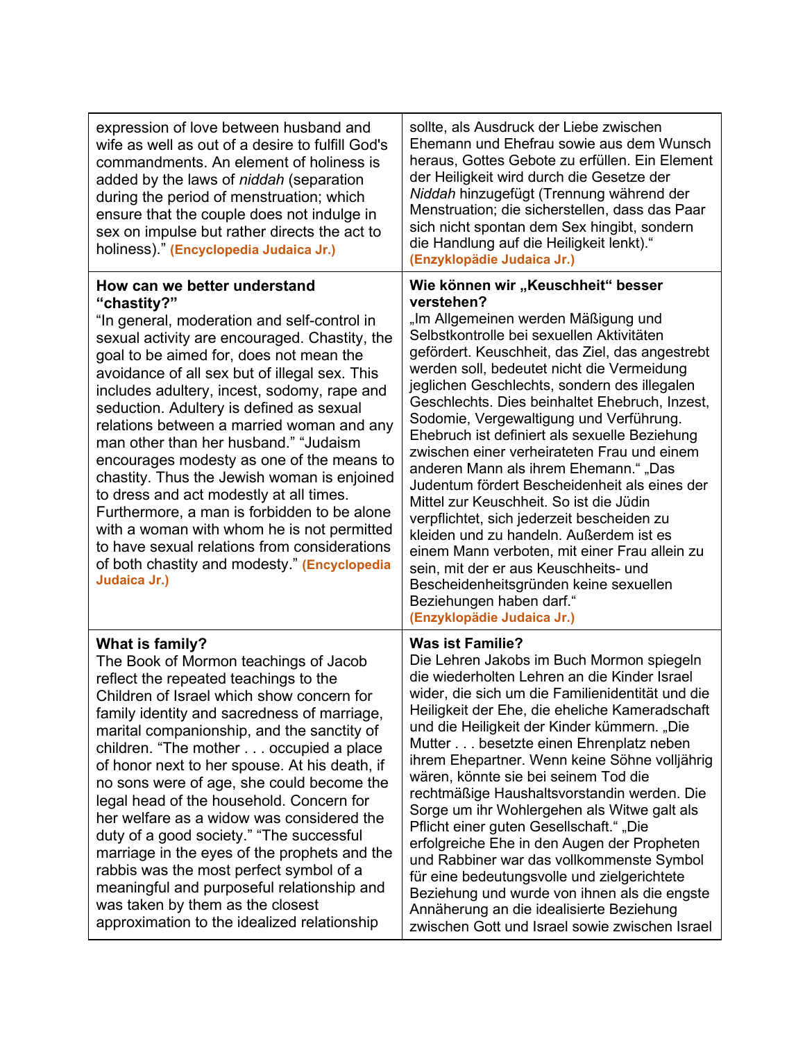| expression of love between husband and<br>wife as well as out of a desire to fulfill God's<br>commandments. An element of holiness is<br>added by the laws of niddah (separation<br>during the period of menstruation; which<br>ensure that the couple does not indulge in<br>sex on impulse but rather directs the act to<br>holiness)." (Encyclopedia Judaica Jr.)                                                                                                                                                                                                                                                                                                                                                                                                         | sollte, als Ausdruck der Liebe zwischen<br>Ehemann und Ehefrau sowie aus dem Wunsch<br>heraus, Gottes Gebote zu erfüllen. Ein Element<br>der Heiligkeit wird durch die Gesetze der<br>Niddah hinzugefügt (Trennung während der<br>Menstruation; die sicherstellen, dass das Paar<br>sich nicht spontan dem Sex hingibt, sondern<br>die Handlung auf die Heiligkeit lenkt)."<br>(Enzyklopädie Judaica Jr.)                                                                                                                                                                                                                                                                                                                                                                                                                                                                                                      |
|------------------------------------------------------------------------------------------------------------------------------------------------------------------------------------------------------------------------------------------------------------------------------------------------------------------------------------------------------------------------------------------------------------------------------------------------------------------------------------------------------------------------------------------------------------------------------------------------------------------------------------------------------------------------------------------------------------------------------------------------------------------------------|----------------------------------------------------------------------------------------------------------------------------------------------------------------------------------------------------------------------------------------------------------------------------------------------------------------------------------------------------------------------------------------------------------------------------------------------------------------------------------------------------------------------------------------------------------------------------------------------------------------------------------------------------------------------------------------------------------------------------------------------------------------------------------------------------------------------------------------------------------------------------------------------------------------|
| How can we better understand<br>"chastity?"<br>"In general, moderation and self-control in<br>sexual activity are encouraged. Chastity, the<br>goal to be aimed for, does not mean the<br>avoidance of all sex but of illegal sex. This<br>includes adultery, incest, sodomy, rape and<br>seduction. Adultery is defined as sexual<br>relations between a married woman and any<br>man other than her husband." "Judaism<br>encourages modesty as one of the means to<br>chastity. Thus the Jewish woman is enjoined<br>to dress and act modestly at all times.<br>Furthermore, a man is forbidden to be alone<br>with a woman with whom he is not permitted<br>to have sexual relations from considerations<br>of both chastity and modesty." (Encyclopedia<br>Judaica Jr.) | Wie können wir "Keuschheit" besser<br>verstehen?<br>"Im Allgemeinen werden Mäßigung und<br>Selbstkontrolle bei sexuellen Aktivitäten<br>gefördert. Keuschheit, das Ziel, das angestrebt<br>werden soll, bedeutet nicht die Vermeidung<br>jeglichen Geschlechts, sondern des illegalen<br>Geschlechts. Dies beinhaltet Ehebruch, Inzest,<br>Sodomie, Vergewaltigung und Verführung.<br>Ehebruch ist definiert als sexuelle Beziehung<br>zwischen einer verheirateten Frau und einem<br>anderen Mann als ihrem Ehemann.", Das<br>Judentum fördert Bescheidenheit als eines der<br>Mittel zur Keuschheit. So ist die Jüdin<br>verpflichtet, sich jederzeit bescheiden zu<br>kleiden und zu handeln. Außerdem ist es<br>einem Mann verboten, mit einer Frau allein zu<br>sein, mit der er aus Keuschheits- und<br>Bescheidenheitsgründen keine sexuellen<br>Beziehungen haben darf."<br>(Enzyklopädie Judaica Jr.) |
| What is family?<br>The Book of Mormon teachings of Jacob<br>reflect the repeated teachings to the<br>Children of Israel which show concern for<br>family identity and sacredness of marriage,<br>marital companionship, and the sanctity of<br>children. "The mother occupied a place<br>of honor next to her spouse. At his death, if<br>no sons were of age, she could become the<br>legal head of the household. Concern for<br>her welfare as a widow was considered the<br>duty of a good society." "The successful<br>marriage in the eyes of the prophets and the<br>rabbis was the most perfect symbol of a<br>meaningful and purposeful relationship and<br>was taken by them as the closest<br>approximation to the idealized relationship                         | <b>Was ist Familie?</b><br>Die Lehren Jakobs im Buch Mormon spiegeln<br>die wiederholten Lehren an die Kinder Israel<br>wider, die sich um die Familienidentität und die<br>Heiligkeit der Ehe, die eheliche Kameradschaft<br>und die Heiligkeit der Kinder kümmern. "Die<br>Mutter besetzte einen Ehrenplatz neben<br>ihrem Ehepartner. Wenn keine Söhne volljährig<br>wären, könnte sie bei seinem Tod die<br>rechtmäßige Haushaltsvorstandin werden. Die<br>Sorge um ihr Wohlergehen als Witwe galt als<br>Pflicht einer guten Gesellschaft." "Die<br>erfolgreiche Ehe in den Augen der Propheten<br>und Rabbiner war das vollkommenste Symbol<br>für eine bedeutungsvolle und zielgerichtete<br>Beziehung und wurde von ihnen als die engste<br>Annäherung an die idealisierte Beziehung<br>zwischen Gott und Israel sowie zwischen Israel                                                                 |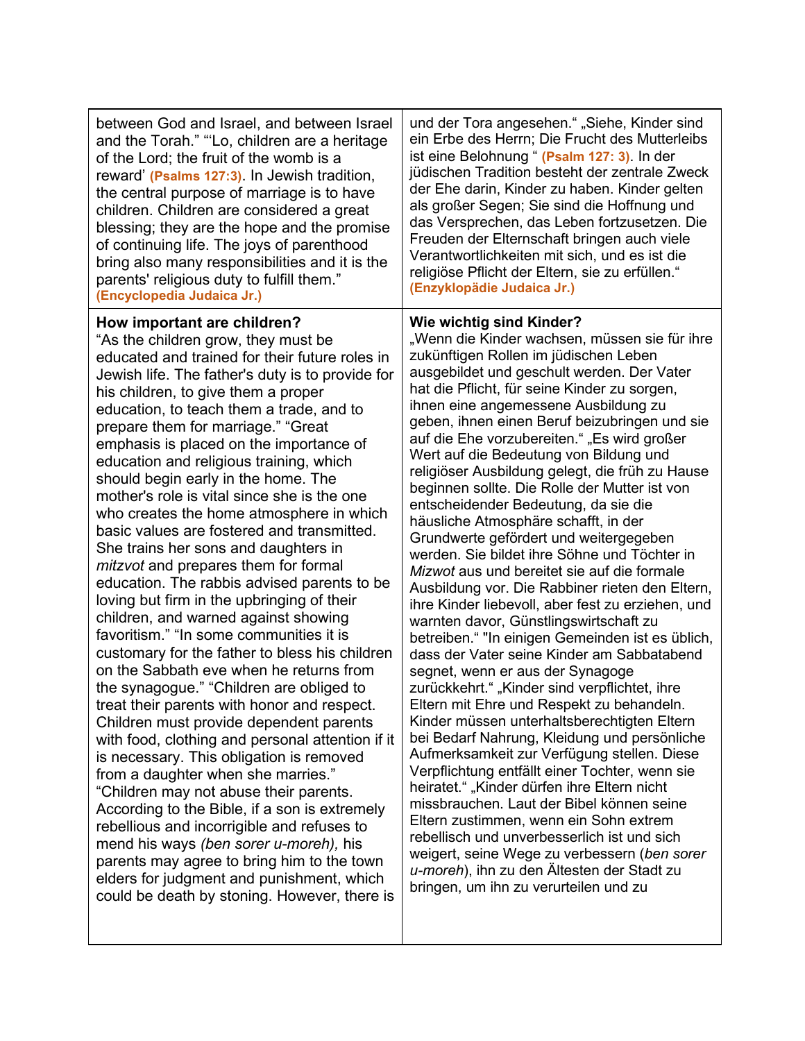| between God and Israel, and between Israel<br>and the Torah." "Lo, children are a heritage<br>of the Lord; the fruit of the womb is a<br>reward' (Psalms 127:3). In Jewish tradition,<br>the central purpose of marriage is to have<br>children. Children are considered a great<br>blessing; they are the hope and the promise<br>of continuing life. The joys of parenthood<br>bring also many responsibilities and it is the<br>parents' religious duty to fulfill them."<br>(Encyclopedia Judaica Jr.)                                                                                                                                                                                                                                                                                                                                                                                                                                                                                                                                                                                                                                                                                                                                                                                                                                                                                                                                                                                                                                     | und der Tora angesehen." "Siehe, Kinder sind<br>ein Erbe des Herrn; Die Frucht des Mutterleibs<br>ist eine Belohnung " (Psalm 127: 3). In der<br>jüdischen Tradition besteht der zentrale Zweck<br>der Ehe darin, Kinder zu haben. Kinder gelten<br>als großer Segen; Sie sind die Hoffnung und<br>das Versprechen, das Leben fortzusetzen. Die<br>Freuden der Elternschaft bringen auch viele<br>Verantwortlichkeiten mit sich, und es ist die<br>religiöse Pflicht der Eltern, sie zu erfüllen."<br>(Enzyklopädie Judaica Jr.)                                                                                                                                                                                                                                                                                                                                                                                                                                                                                                                                                                                                                                                                                                                                                                                                                                                                                                                                                                                                                                                                                                                         |
|------------------------------------------------------------------------------------------------------------------------------------------------------------------------------------------------------------------------------------------------------------------------------------------------------------------------------------------------------------------------------------------------------------------------------------------------------------------------------------------------------------------------------------------------------------------------------------------------------------------------------------------------------------------------------------------------------------------------------------------------------------------------------------------------------------------------------------------------------------------------------------------------------------------------------------------------------------------------------------------------------------------------------------------------------------------------------------------------------------------------------------------------------------------------------------------------------------------------------------------------------------------------------------------------------------------------------------------------------------------------------------------------------------------------------------------------------------------------------------------------------------------------------------------------|----------------------------------------------------------------------------------------------------------------------------------------------------------------------------------------------------------------------------------------------------------------------------------------------------------------------------------------------------------------------------------------------------------------------------------------------------------------------------------------------------------------------------------------------------------------------------------------------------------------------------------------------------------------------------------------------------------------------------------------------------------------------------------------------------------------------------------------------------------------------------------------------------------------------------------------------------------------------------------------------------------------------------------------------------------------------------------------------------------------------------------------------------------------------------------------------------------------------------------------------------------------------------------------------------------------------------------------------------------------------------------------------------------------------------------------------------------------------------------------------------------------------------------------------------------------------------------------------------------------------------------------------------------|
| How important are children?<br>"As the children grow, they must be<br>educated and trained for their future roles in<br>Jewish life. The father's duty is to provide for<br>his children, to give them a proper<br>education, to teach them a trade, and to<br>prepare them for marriage." "Great<br>emphasis is placed on the importance of<br>education and religious training, which<br>should begin early in the home. The<br>mother's role is vital since she is the one<br>who creates the home atmosphere in which<br>basic values are fostered and transmitted.<br>She trains her sons and daughters in<br>mitzvot and prepares them for formal<br>education. The rabbis advised parents to be<br>loving but firm in the upbringing of their<br>children, and warned against showing<br>favoritism." "In some communities it is<br>customary for the father to bless his children<br>on the Sabbath eve when he returns from<br>the synagogue." "Children are obliged to<br>treat their parents with honor and respect.<br>Children must provide dependent parents<br>with food, clothing and personal attention if it<br>is necessary. This obligation is removed<br>from a daughter when she marries."<br>"Children may not abuse their parents.<br>According to the Bible, if a son is extremely<br>rebellious and incorrigible and refuses to<br>mend his ways (ben sorer u-moreh), his<br>parents may agree to bring him to the town<br>elders for judgment and punishment, which<br>could be death by stoning. However, there is | <b>Wie wichtig sind Kinder?</b><br>"Wenn die Kinder wachsen, müssen sie für ihre<br>zukünftigen Rollen im jüdischen Leben<br>ausgebildet und geschult werden. Der Vater<br>hat die Pflicht, für seine Kinder zu sorgen,<br>ihnen eine angemessene Ausbildung zu<br>geben, ihnen einen Beruf beizubringen und sie<br>auf die Ehe vorzubereiten." "Es wird großer<br>Wert auf die Bedeutung von Bildung und<br>religiöser Ausbildung gelegt, die früh zu Hause<br>beginnen sollte. Die Rolle der Mutter ist von<br>entscheidender Bedeutung, da sie die<br>häusliche Atmosphäre schafft, in der<br>Grundwerte gefördert und weitergegeben<br>werden. Sie bildet ihre Söhne und Töchter in<br>Mizwot aus und bereitet sie auf die formale<br>Ausbildung vor. Die Rabbiner rieten den Eltern,<br>ihre Kinder liebevoll, aber fest zu erziehen, und<br>warnten davor, Günstlingswirtschaft zu<br>betreiben." "In einigen Gemeinden ist es üblich,<br>dass der Vater seine Kinder am Sabbatabend<br>segnet, wenn er aus der Synagoge<br>zurückkehrt." "Kinder sind verpflichtet, ihre<br>Eltern mit Ehre und Respekt zu behandeln.<br>Kinder müssen unterhaltsberechtigten Eltern<br>bei Bedarf Nahrung, Kleidung und persönliche<br>Aufmerksamkeit zur Verfügung stellen. Diese<br>Verpflichtung entfällt einer Tochter, wenn sie<br>heiratet." "Kinder dürfen ihre Eltern nicht<br>missbrauchen. Laut der Bibel können seine<br>Eltern zustimmen, wenn ein Sohn extrem<br>rebellisch und unverbesserlich ist und sich<br>weigert, seine Wege zu verbessern (ben sorer<br>u-moreh), ihn zu den Ältesten der Stadt zu<br>bringen, um ihn zu verurteilen und zu |
|                                                                                                                                                                                                                                                                                                                                                                                                                                                                                                                                                                                                                                                                                                                                                                                                                                                                                                                                                                                                                                                                                                                                                                                                                                                                                                                                                                                                                                                                                                                                                |                                                                                                                                                                                                                                                                                                                                                                                                                                                                                                                                                                                                                                                                                                                                                                                                                                                                                                                                                                                                                                                                                                                                                                                                                                                                                                                                                                                                                                                                                                                                                                                                                                                          |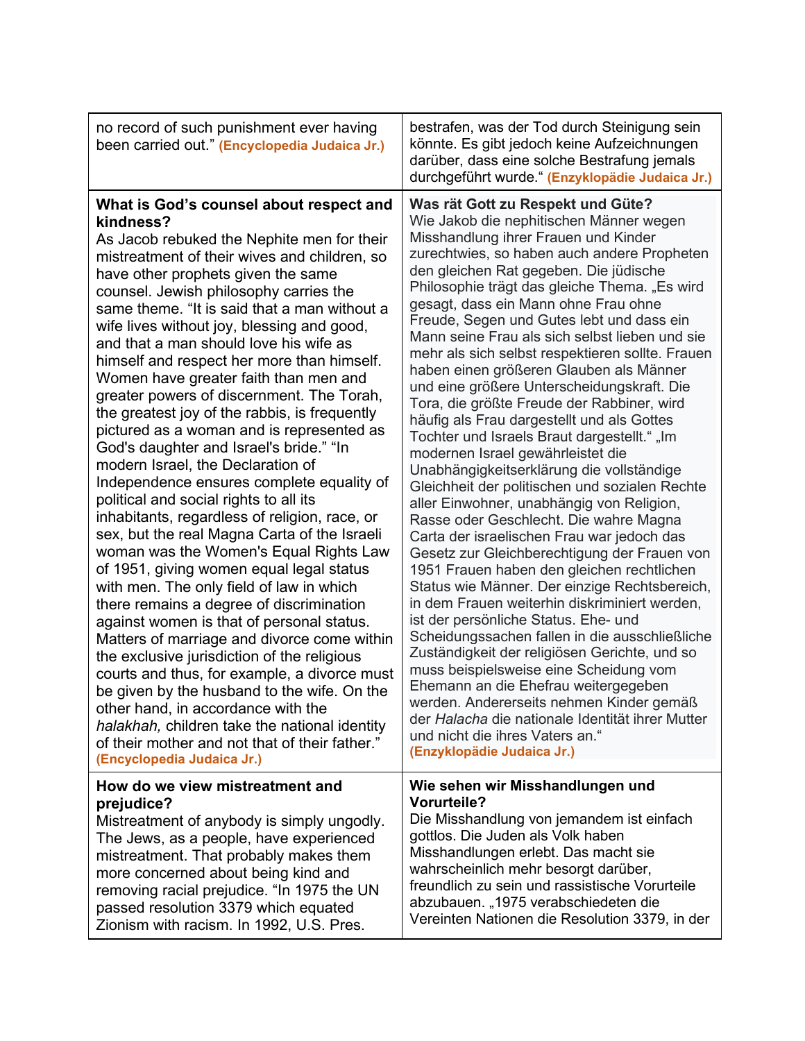| no record of such punishment ever having<br>been carried out." (Encyclopedia Judaica Jr.)                                                                                                                                                                                                                                                                                                                                                                                                                                                                                                                                                                                                                                                                                                                                                                                                                                                                                                                                                                                                                                                                                                                                                                                                                                                                                                                                                                                           | bestrafen, was der Tod durch Steinigung sein<br>könnte. Es gibt jedoch keine Aufzeichnungen<br>darüber, dass eine solche Bestrafung jemals<br>durchgeführt wurde " (Enzyklopädie Judaica Jr.)                                                                                                                                                                                                                                                                                                                                                                                                                                                                                                                                                                                                                                                                                                                                                                                                                                                                                                                                                                                                                                                                                                                                                                                                                                                                                                                                                                        |
|-------------------------------------------------------------------------------------------------------------------------------------------------------------------------------------------------------------------------------------------------------------------------------------------------------------------------------------------------------------------------------------------------------------------------------------------------------------------------------------------------------------------------------------------------------------------------------------------------------------------------------------------------------------------------------------------------------------------------------------------------------------------------------------------------------------------------------------------------------------------------------------------------------------------------------------------------------------------------------------------------------------------------------------------------------------------------------------------------------------------------------------------------------------------------------------------------------------------------------------------------------------------------------------------------------------------------------------------------------------------------------------------------------------------------------------------------------------------------------------|----------------------------------------------------------------------------------------------------------------------------------------------------------------------------------------------------------------------------------------------------------------------------------------------------------------------------------------------------------------------------------------------------------------------------------------------------------------------------------------------------------------------------------------------------------------------------------------------------------------------------------------------------------------------------------------------------------------------------------------------------------------------------------------------------------------------------------------------------------------------------------------------------------------------------------------------------------------------------------------------------------------------------------------------------------------------------------------------------------------------------------------------------------------------------------------------------------------------------------------------------------------------------------------------------------------------------------------------------------------------------------------------------------------------------------------------------------------------------------------------------------------------------------------------------------------------|
| What is God's counsel about respect and<br>kindness?<br>As Jacob rebuked the Nephite men for their<br>mistreatment of their wives and children, so<br>have other prophets given the same<br>counsel. Jewish philosophy carries the<br>same theme. "It is said that a man without a<br>wife lives without joy, blessing and good,<br>and that a man should love his wife as<br>himself and respect her more than himself.<br>Women have greater faith than men and<br>greater powers of discernment. The Torah,<br>the greatest joy of the rabbis, is frequently<br>pictured as a woman and is represented as<br>God's daughter and Israel's bride." "In<br>modern Israel, the Declaration of<br>Independence ensures complete equality of<br>political and social rights to all its<br>inhabitants, regardless of religion, race, or<br>sex, but the real Magna Carta of the Israeli<br>woman was the Women's Equal Rights Law<br>of 1951, giving women equal legal status<br>with men. The only field of law in which<br>there remains a degree of discrimination<br>against women is that of personal status.<br>Matters of marriage and divorce come within<br>the exclusive jurisdiction of the religious<br>courts and thus, for example, a divorce must<br>be given by the husband to the wife. On the<br>other hand, in accordance with the<br>halakhah, children take the national identity<br>of their mother and not that of their father."<br>(Encyclopedia Judaica Jr.) | Was rät Gott zu Respekt und Güte?<br>Wie Jakob die nephitischen Männer wegen<br>Misshandlung ihrer Frauen und Kinder<br>zurechtwies, so haben auch andere Propheten<br>den gleichen Rat gegeben. Die jüdische<br>Philosophie trägt das gleiche Thema. "Es wird<br>gesagt, dass ein Mann ohne Frau ohne<br>Freude, Segen und Gutes lebt und dass ein<br>Mann seine Frau als sich selbst lieben und sie<br>mehr als sich selbst respektieren sollte. Frauen<br>haben einen größeren Glauben als Männer<br>und eine größere Unterscheidungskraft. Die<br>Tora, die größte Freude der Rabbiner, wird<br>häufig als Frau dargestellt und als Gottes<br>Tochter und Israels Braut dargestellt." "Im<br>modernen Israel gewährleistet die<br>Unabhängigkeitserklärung die vollständige<br>Gleichheit der politischen und sozialen Rechte<br>aller Einwohner, unabhängig von Religion,<br>Rasse oder Geschlecht. Die wahre Magna<br>Carta der israelischen Frau war jedoch das<br>Gesetz zur Gleichberechtigung der Frauen von<br>1951 Frauen haben den gleichen rechtlichen<br>Status wie Männer. Der einzige Rechtsbereich,<br>in dem Frauen weiterhin diskriminiert werden,<br>ist der persönliche Status. Ehe- und<br>Scheidungssachen fallen in die ausschließliche<br>Zuständigkeit der religiösen Gerichte, und so<br>muss beispielsweise eine Scheidung vom<br>Ehemann an die Ehefrau weitergegeben<br>werden. Andererseits nehmen Kinder gemäß<br>der Halacha die nationale Identität ihrer Mutter<br>und nicht die ihres Vaters an."<br>(Enzyklopädie Judaica Jr.) |
| How do we view mistreatment and<br>prejudice?<br>Mistreatment of anybody is simply ungodly.<br>The Jews, as a people, have experienced<br>mistreatment. That probably makes them<br>more concerned about being kind and<br>removing racial prejudice. "In 1975 the UN<br>passed resolution 3379 which equated<br>Zionism with racism. In 1992, U.S. Pres.                                                                                                                                                                                                                                                                                                                                                                                                                                                                                                                                                                                                                                                                                                                                                                                                                                                                                                                                                                                                                                                                                                                           | Wie sehen wir Misshandlungen und<br><b>Vorurteile?</b><br>Die Misshandlung von jemandem ist einfach<br>gottlos. Die Juden als Volk haben<br>Misshandlungen erlebt. Das macht sie<br>wahrscheinlich mehr besorgt darüber,<br>freundlich zu sein und rassistische Vorurteile<br>abzubauen. "1975 verabschiedeten die<br>Vereinten Nationen die Resolution 3379, in der                                                                                                                                                                                                                                                                                                                                                                                                                                                                                                                                                                                                                                                                                                                                                                                                                                                                                                                                                                                                                                                                                                                                                                                                 |